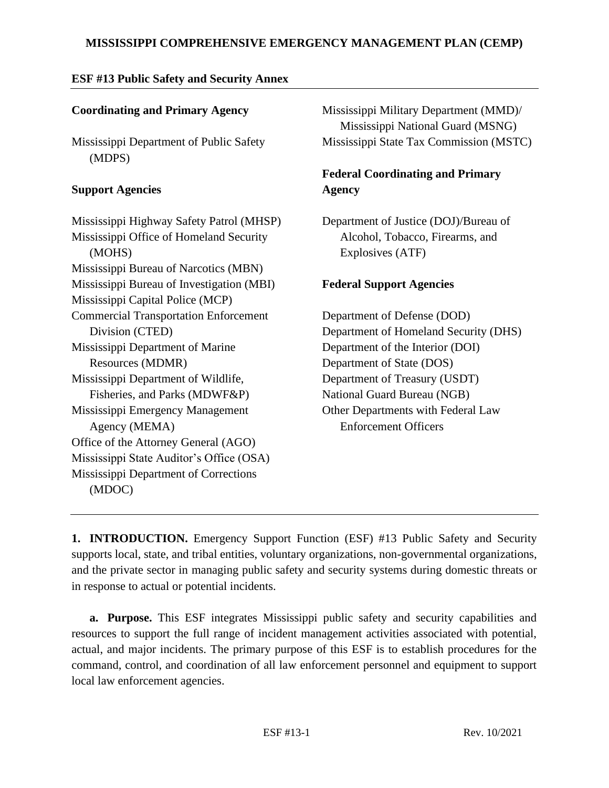# **ESF #13 Public Safety and Security Annex**

# **Coordinating and Primary Agency**

Mississippi Department of Public Safety (MDPS)

### **Support Agencies**

Mississippi Highway Safety Patrol (MHSP) Mississippi Office of Homeland Security (MOHS) Mississippi Bureau of Narcotics (MBN) Mississippi Bureau of Investigation (MBI) Mississippi Capital Police (MCP) Commercial Transportation Enforcement Division (CTED) Mississippi Department of Marine Resources (MDMR) Mississippi Department of Wildlife, Fisheries, and Parks (MDWF&P) Mississippi Emergency Management Agency (MEMA) Office of the Attorney General (AGO) Mississippi State Auditor's Office (OSA) Mississippi Department of Corrections (MDOC)

Mississippi Military Department (MMD)/ Mississippi National Guard (MSNG) Mississippi State Tax Commission (MSTC)

# **Federal Coordinating and Primary Agency**

Department of Justice (DOJ)/Bureau of Alcohol, Tobacco, Firearms, and Explosives (ATF)

## **Federal Support Agencies**

Department of Defense (DOD) Department of Homeland Security (DHS) Department of the Interior (DOI) Department of State (DOS) Department of Treasury (USDT) National Guard Bureau (NGB) Other Departments with Federal Law Enforcement Officers

**1. INTRODUCTION.** Emergency Support Function (ESF) #13 Public Safety and Security supports local, state, and tribal entities, voluntary organizations, non-governmental organizations, and the private sector in managing public safety and security systems during domestic threats or in response to actual or potential incidents.

**a. Purpose.** This ESF integrates Mississippi public safety and security capabilities and resources to support the full range of incident management activities associated with potential, actual, and major incidents. The primary purpose of this ESF is to establish procedures for the command, control, and coordination of all law enforcement personnel and equipment to support local law enforcement agencies.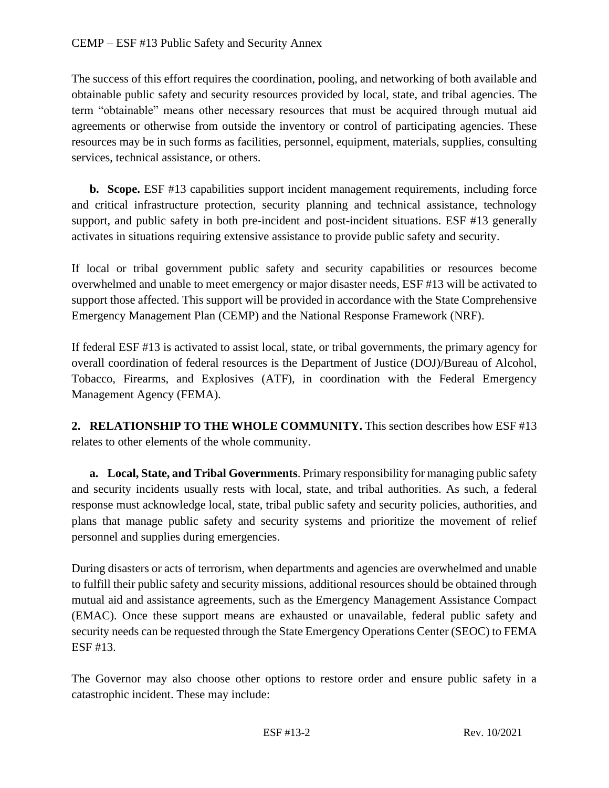The success of this effort requires the coordination, pooling, and networking of both available and obtainable public safety and security resources provided by local, state, and tribal agencies. The term "obtainable" means other necessary resources that must be acquired through mutual aid agreements or otherwise from outside the inventory or control of participating agencies. These resources may be in such forms as facilities, personnel, equipment, materials, supplies, consulting services, technical assistance, or others.

**b. Scope.** ESF #13 capabilities support incident management requirements, including force and critical infrastructure protection, security planning and technical assistance, technology support, and public safety in both pre-incident and post-incident situations. ESF #13 generally activates in situations requiring extensive assistance to provide public safety and security.

If local or tribal government public safety and security capabilities or resources become overwhelmed and unable to meet emergency or major disaster needs, ESF #13 will be activated to support those affected. This support will be provided in accordance with the State Comprehensive Emergency Management Plan (CEMP) and the National Response Framework (NRF).

If federal ESF #13 is activated to assist local, state, or tribal governments, the primary agency for overall coordination of federal resources is the Department of Justice (DOJ)/Bureau of Alcohol, Tobacco, Firearms, and Explosives (ATF), in coordination with the Federal Emergency Management Agency (FEMA).

**2. RELATIONSHIP TO THE WHOLE COMMUNITY.** This section describes how ESF #13 relates to other elements of the whole community.

**a. Local, State, and Tribal Governments**. Primary responsibility for managing public safety and security incidents usually rests with local, state, and tribal authorities. As such, a federal response must acknowledge local, state, tribal public safety and security policies, authorities, and plans that manage public safety and security systems and prioritize the movement of relief personnel and supplies during emergencies.

During disasters or acts of terrorism, when departments and agencies are overwhelmed and unable to fulfill their public safety and security missions, additional resources should be obtained through mutual aid and assistance agreements, such as the Emergency Management Assistance Compact (EMAC). Once these support means are exhausted or unavailable, federal public safety and security needs can be requested through the State Emergency Operations Center (SEOC) to FEMA ESF #13.

The Governor may also choose other options to restore order and ensure public safety in a catastrophic incident. These may include: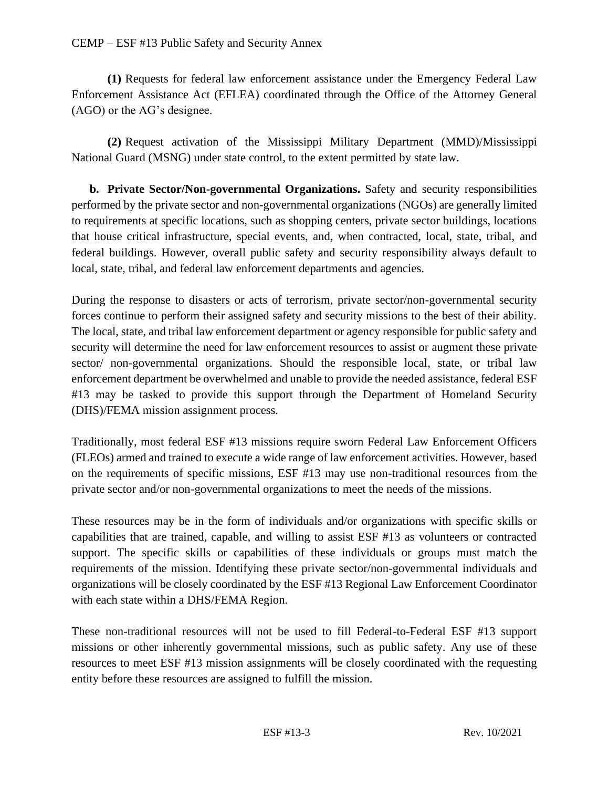**(1)** Requests for federal law enforcement assistance under the Emergency Federal Law Enforcement Assistance Act (EFLEA) coordinated through the Office of the Attorney General (AGO) or the AG's designee.

**(2)** Request activation of the Mississippi Military Department (MMD)/Mississippi National Guard (MSNG) under state control, to the extent permitted by state law.

**b. Private Sector/Non-governmental Organizations.** Safety and security responsibilities performed by the private sector and non-governmental organizations (NGOs) are generally limited to requirements at specific locations, such as shopping centers, private sector buildings, locations that house critical infrastructure, special events, and, when contracted, local, state, tribal, and federal buildings. However, overall public safety and security responsibility always default to local, state, tribal, and federal law enforcement departments and agencies.

During the response to disasters or acts of terrorism, private sector/non-governmental security forces continue to perform their assigned safety and security missions to the best of their ability. The local, state, and tribal law enforcement department or agency responsible for public safety and security will determine the need for law enforcement resources to assist or augment these private sector/ non-governmental organizations. Should the responsible local, state, or tribal law enforcement department be overwhelmed and unable to provide the needed assistance, federal ESF #13 may be tasked to provide this support through the Department of Homeland Security (DHS)/FEMA mission assignment process.

Traditionally, most federal ESF #13 missions require sworn Federal Law Enforcement Officers (FLEOs) armed and trained to execute a wide range of law enforcement activities. However, based on the requirements of specific missions, ESF #13 may use non-traditional resources from the private sector and/or non-governmental organizations to meet the needs of the missions.

These resources may be in the form of individuals and/or organizations with specific skills or capabilities that are trained, capable, and willing to assist ESF #13 as volunteers or contracted support. The specific skills or capabilities of these individuals or groups must match the requirements of the mission. Identifying these private sector/non-governmental individuals and organizations will be closely coordinated by the ESF #13 Regional Law Enforcement Coordinator with each state within a DHS/FEMA Region.

These non-traditional resources will not be used to fill Federal-to-Federal ESF #13 support missions or other inherently governmental missions, such as public safety. Any use of these resources to meet ESF #13 mission assignments will be closely coordinated with the requesting entity before these resources are assigned to fulfill the mission.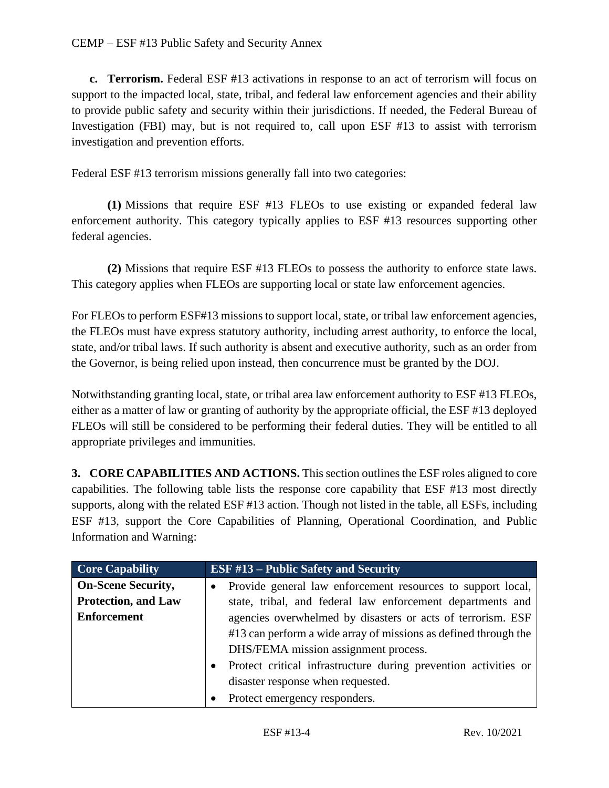**c. Terrorism.** Federal ESF #13 activations in response to an act of terrorism will focus on support to the impacted local, state, tribal, and federal law enforcement agencies and their ability to provide public safety and security within their jurisdictions. If needed, the Federal Bureau of Investigation (FBI) may, but is not required to, call upon ESF #13 to assist with terrorism investigation and prevention efforts.

Federal ESF #13 terrorism missions generally fall into two categories:

**(1)** Missions that require ESF #13 FLEOs to use existing or expanded federal law enforcement authority. This category typically applies to ESF #13 resources supporting other federal agencies.

**(2)** Missions that require ESF #13 FLEOs to possess the authority to enforce state laws. This category applies when FLEOs are supporting local or state law enforcement agencies.

For FLEOs to perform ESF#13 missions to support local, state, or tribal law enforcement agencies, the FLEOs must have express statutory authority, including arrest authority, to enforce the local, state, and/or tribal laws. If such authority is absent and executive authority, such as an order from the Governor, is being relied upon instead, then concurrence must be granted by the DOJ.

Notwithstanding granting local, state, or tribal area law enforcement authority to ESF #13 FLEOs, either as a matter of law or granting of authority by the appropriate official, the ESF #13 deployed FLEOs will still be considered to be performing their federal duties. They will be entitled to all appropriate privileges and immunities.

**3. CORE CAPABILITIES AND ACTIONS.** This section outlines the ESF roles aligned to core capabilities. The following table lists the response core capability that ESF #13 most directly supports, along with the related ESF #13 action. Though not listed in the table, all ESFs, including ESF #13, support the Core Capabilities of Planning, Operational Coordination, and Public Information and Warning:

| <b>Core Capability</b>     | <b>ESF #13 – Public Safety and Security</b>                              |
|----------------------------|--------------------------------------------------------------------------|
| <b>On-Scene Security,</b>  | Provide general law enforcement resources to support local,<br>$\bullet$ |
| <b>Protection, and Law</b> | state, tribal, and federal law enforcement departments and               |
| <b>Enforcement</b>         | agencies overwhelmed by disasters or acts of terrorism. ESF              |
|                            | #13 can perform a wide array of missions as defined through the          |
|                            | DHS/FEMA mission assignment process.                                     |
|                            | Protect critical infrastructure during prevention activities or          |
|                            | disaster response when requested.                                        |
|                            | Protect emergency responders.                                            |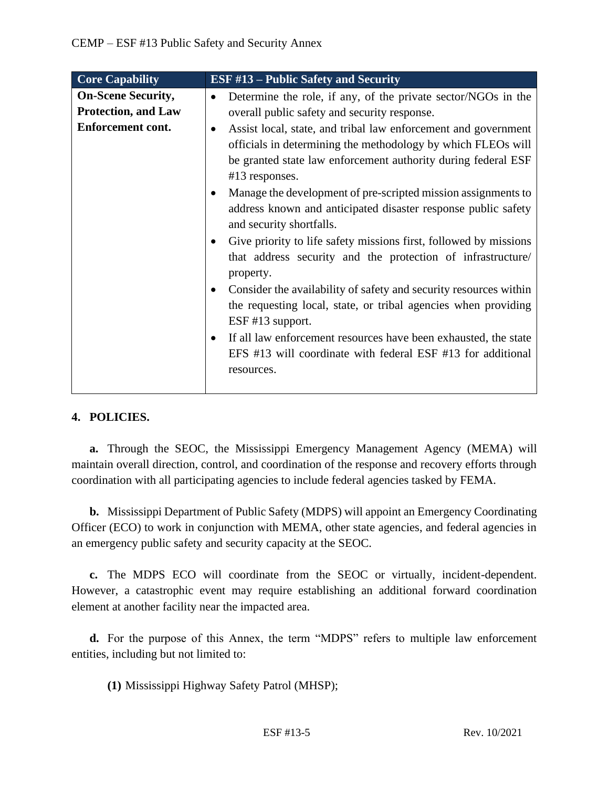| <b>Core Capability</b>     | <b>ESF #13 – Public Safety and Security</b>                                                                                                                                                                                                                                                                                                                                                                                                                                                                                                                                                                                                                                                                                                                                                                                                   |
|----------------------------|-----------------------------------------------------------------------------------------------------------------------------------------------------------------------------------------------------------------------------------------------------------------------------------------------------------------------------------------------------------------------------------------------------------------------------------------------------------------------------------------------------------------------------------------------------------------------------------------------------------------------------------------------------------------------------------------------------------------------------------------------------------------------------------------------------------------------------------------------|
| <b>On-Scene Security,</b>  | Determine the role, if any, of the private sector/NGOs in the<br>$\bullet$                                                                                                                                                                                                                                                                                                                                                                                                                                                                                                                                                                                                                                                                                                                                                                    |
| <b>Protection, and Law</b> | overall public safety and security response.                                                                                                                                                                                                                                                                                                                                                                                                                                                                                                                                                                                                                                                                                                                                                                                                  |
| <b>Enforcement cont.</b>   | Assist local, state, and tribal law enforcement and government<br>officials in determining the methodology by which FLEOs will<br>be granted state law enforcement authority during federal ESF<br>#13 responses.<br>Manage the development of pre-scripted mission assignments to<br>address known and anticipated disaster response public safety<br>and security shortfalls.<br>Give priority to life safety missions first, followed by missions<br>that address security and the protection of infrastructure/<br>property.<br>Consider the availability of safety and security resources within<br>the requesting local, state, or tribal agencies when providing<br>$ESF$ #13 support.<br>If all law enforcement resources have been exhausted, the state<br>EFS #13 will coordinate with federal ESF #13 for additional<br>resources. |
|                            |                                                                                                                                                                                                                                                                                                                                                                                                                                                                                                                                                                                                                                                                                                                                                                                                                                               |

# **4. POLICIES.**

**a.** Through the SEOC, the Mississippi Emergency Management Agency (MEMA) will maintain overall direction, control, and coordination of the response and recovery efforts through coordination with all participating agencies to include federal agencies tasked by FEMA.

**b.** Mississippi Department of Public Safety (MDPS) will appoint an Emergency Coordinating Officer (ECO) to work in conjunction with MEMA, other state agencies, and federal agencies in an emergency public safety and security capacity at the SEOC.

**c.** The MDPS ECO will coordinate from the SEOC or virtually, incident-dependent. However, a catastrophic event may require establishing an additional forward coordination element at another facility near the impacted area.

**d.** For the purpose of this Annex, the term "MDPS" refers to multiple law enforcement entities, including but not limited to:

**(1)** Mississippi Highway Safety Patrol (MHSP);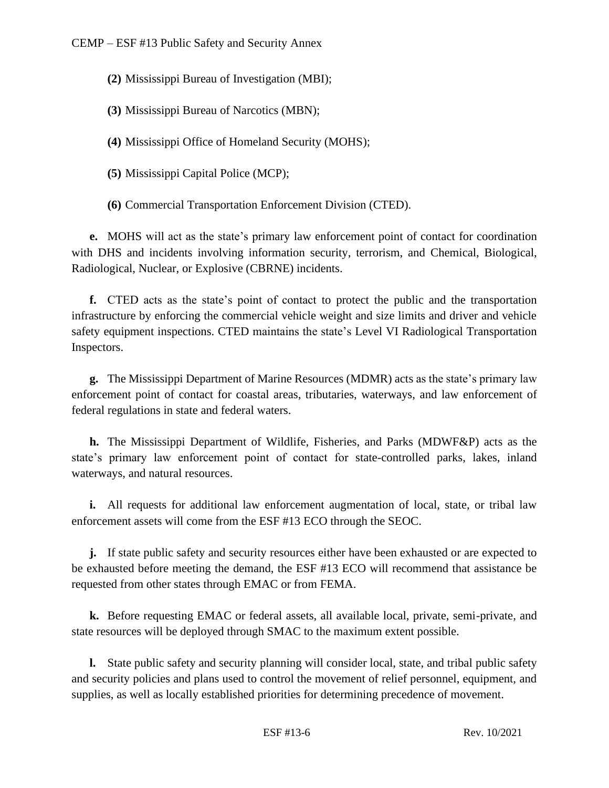- **(2)** Mississippi Bureau of Investigation (MBI);
- **(3)** Mississippi Bureau of Narcotics (MBN);
- **(4)** Mississippi Office of Homeland Security (MOHS);
- **(5)** Mississippi Capital Police (MCP);
- **(6)** Commercial Transportation Enforcement Division (CTED).

**e.** MOHS will act as the state's primary law enforcement point of contact for coordination with DHS and incidents involving information security, terrorism, and Chemical, Biological, Radiological, Nuclear, or Explosive (CBRNE) incidents.

**f.** CTED acts as the state's point of contact to protect the public and the transportation infrastructure by enforcing the commercial vehicle weight and size limits and driver and vehicle safety equipment inspections. CTED maintains the state's Level VI Radiological Transportation Inspectors.

**g.** The Mississippi Department of Marine Resources (MDMR) acts as the state's primary law enforcement point of contact for coastal areas, tributaries, waterways, and law enforcement of federal regulations in state and federal waters.

**h.** The Mississippi Department of Wildlife, Fisheries, and Parks (MDWF&P) acts as the state's primary law enforcement point of contact for state-controlled parks, lakes, inland waterways, and natural resources.

**i.** All requests for additional law enforcement augmentation of local, state, or tribal law enforcement assets will come from the ESF #13 ECO through the SEOC.

**j.** If state public safety and security resources either have been exhausted or are expected to be exhausted before meeting the demand, the ESF #13 ECO will recommend that assistance be requested from other states through EMAC or from FEMA.

**k.** Before requesting EMAC or federal assets, all available local, private, semi-private, and state resources will be deployed through SMAC to the maximum extent possible.

**l.** State public safety and security planning will consider local, state, and tribal public safety and security policies and plans used to control the movement of relief personnel, equipment, and supplies, as well as locally established priorities for determining precedence of movement.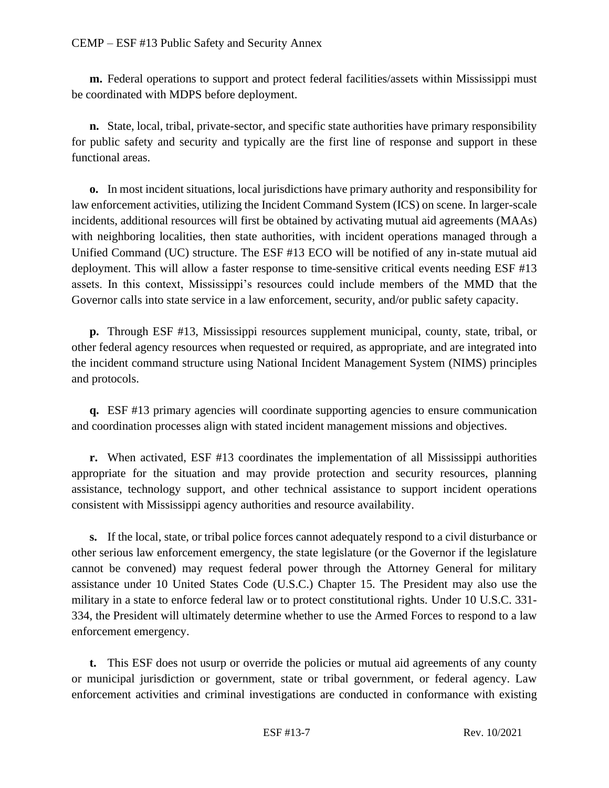**m.** Federal operations to support and protect federal facilities/assets within Mississippi must be coordinated with MDPS before deployment.

**n.** State, local, tribal, private-sector, and specific state authorities have primary responsibility for public safety and security and typically are the first line of response and support in these functional areas.

**o.** In most incident situations, local jurisdictions have primary authority and responsibility for law enforcement activities, utilizing the Incident Command System (ICS) on scene. In larger-scale incidents, additional resources will first be obtained by activating mutual aid agreements (MAAs) with neighboring localities, then state authorities, with incident operations managed through a Unified Command (UC) structure. The ESF #13 ECO will be notified of any in-state mutual aid deployment. This will allow a faster response to time-sensitive critical events needing ESF #13 assets. In this context, Mississippi's resources could include members of the MMD that the Governor calls into state service in a law enforcement, security, and/or public safety capacity.

**p.** Through ESF #13, Mississippi resources supplement municipal, county, state, tribal, or other federal agency resources when requested or required, as appropriate, and are integrated into the incident command structure using National Incident Management System (NIMS) principles and protocols.

**q.** ESF #13 primary agencies will coordinate supporting agencies to ensure communication and coordination processes align with stated incident management missions and objectives.

**r.** When activated, ESF #13 coordinates the implementation of all Mississippi authorities appropriate for the situation and may provide protection and security resources, planning assistance, technology support, and other technical assistance to support incident operations consistent with Mississippi agency authorities and resource availability.

**s.** If the local, state, or tribal police forces cannot adequately respond to a civil disturbance or other serious law enforcement emergency, the state legislature (or the Governor if the legislature cannot be convened) may request federal power through the Attorney General for military assistance under 10 United States Code (U.S.C.) Chapter 15. The President may also use the military in a state to enforce federal law or to protect constitutional rights. Under 10 U.S.C. 331- 334, the President will ultimately determine whether to use the Armed Forces to respond to a law enforcement emergency.

**t.** This ESF does not usurp or override the policies or mutual aid agreements of any county or municipal jurisdiction or government, state or tribal government, or federal agency. Law enforcement activities and criminal investigations are conducted in conformance with existing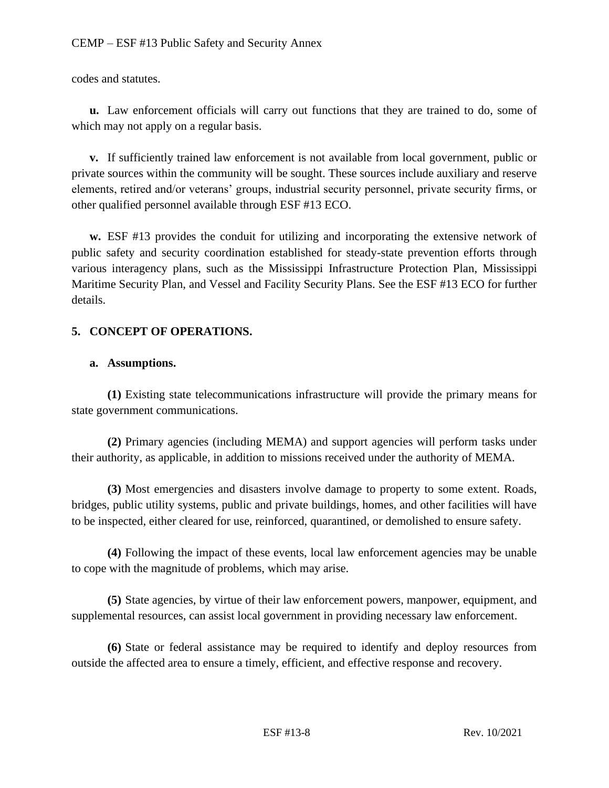codes and statutes.

**u.** Law enforcement officials will carry out functions that they are trained to do, some of which may not apply on a regular basis.

**v.** If sufficiently trained law enforcement is not available from local government, public or private sources within the community will be sought. These sources include auxiliary and reserve elements, retired and/or veterans' groups, industrial security personnel, private security firms, or other qualified personnel available through ESF #13 ECO.

**w.** ESF #13 provides the conduit for utilizing and incorporating the extensive network of public safety and security coordination established for steady-state prevention efforts through various interagency plans, such as the Mississippi Infrastructure Protection Plan, Mississippi Maritime Security Plan, and Vessel and Facility Security Plans. See the ESF #13 ECO for further details.

#### **5. CONCEPT OF OPERATIONS.**

#### **a. Assumptions.**

**(1)** Existing state telecommunications infrastructure will provide the primary means for state government communications.

**(2)** Primary agencies (including MEMA) and support agencies will perform tasks under their authority, as applicable, in addition to missions received under the authority of MEMA.

**(3)** Most emergencies and disasters involve damage to property to some extent. Roads, bridges, public utility systems, public and private buildings, homes, and other facilities will have to be inspected, either cleared for use, reinforced, quarantined, or demolished to ensure safety.

**(4)** Following the impact of these events, local law enforcement agencies may be unable to cope with the magnitude of problems, which may arise.

**(5)** State agencies, by virtue of their law enforcement powers, manpower, equipment, and supplemental resources, can assist local government in providing necessary law enforcement.

**(6)** State or federal assistance may be required to identify and deploy resources from outside the affected area to ensure a timely, efficient, and effective response and recovery.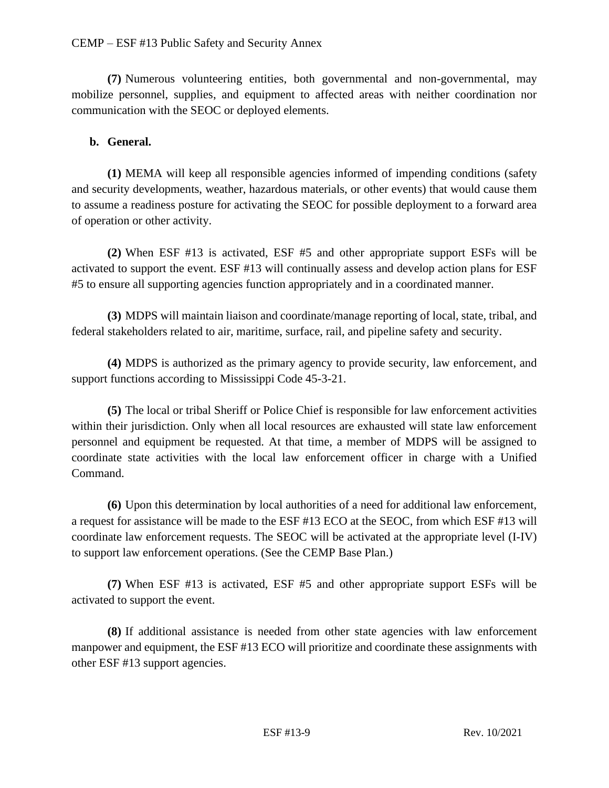**(7)** Numerous volunteering entities, both governmental and non-governmental, may mobilize personnel, supplies, and equipment to affected areas with neither coordination nor communication with the SEOC or deployed elements.

### **b. General.**

**(1)** MEMA will keep all responsible agencies informed of impending conditions (safety and security developments, weather, hazardous materials, or other events) that would cause them to assume a readiness posture for activating the SEOC for possible deployment to a forward area of operation or other activity.

**(2)** When ESF #13 is activated, ESF #5 and other appropriate support ESFs will be activated to support the event. ESF #13 will continually assess and develop action plans for ESF #5 to ensure all supporting agencies function appropriately and in a coordinated manner.

**(3)** MDPS will maintain liaison and coordinate/manage reporting of local, state, tribal, and federal stakeholders related to air, maritime, surface, rail, and pipeline safety and security.

**(4)** MDPS is authorized as the primary agency to provide security, law enforcement, and support functions according to Mississippi Code 45-3-21.

**(5)** The local or tribal Sheriff or Police Chief is responsible for law enforcement activities within their jurisdiction. Only when all local resources are exhausted will state law enforcement personnel and equipment be requested. At that time, a member of MDPS will be assigned to coordinate state activities with the local law enforcement officer in charge with a Unified Command.

**(6)** Upon this determination by local authorities of a need for additional law enforcement, a request for assistance will be made to the ESF #13 ECO at the SEOC, from which ESF #13 will coordinate law enforcement requests. The SEOC will be activated at the appropriate level (I-IV) to support law enforcement operations. (See the CEMP Base Plan.)

**(7)** When ESF #13 is activated, ESF #5 and other appropriate support ESFs will be activated to support the event.

**(8)** If additional assistance is needed from other state agencies with law enforcement manpower and equipment, the ESF #13 ECO will prioritize and coordinate these assignments with other ESF #13 support agencies.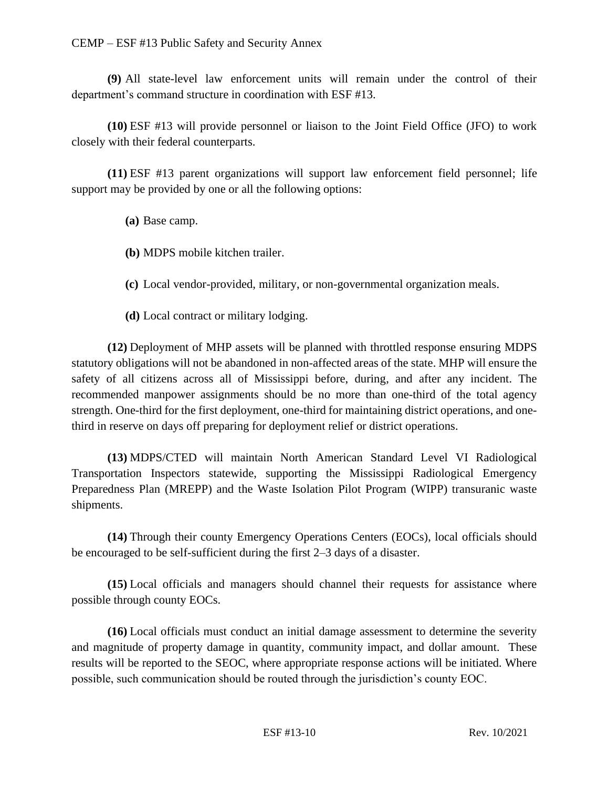**(9)** All state-level law enforcement units will remain under the control of their department's command structure in coordination with ESF #13.

**(10)** ESF #13 will provide personnel or liaison to the Joint Field Office (JFO) to work closely with their federal counterparts.

**(11)** ESF #13 parent organizations will support law enforcement field personnel; life support may be provided by one or all the following options:

**(a)** Base camp.

**(b)** MDPS mobile kitchen trailer.

**(c)** Local vendor-provided, military, or non-governmental organization meals.

**(d)** Local contract or military lodging.

**(12)** Deployment of MHP assets will be planned with throttled response ensuring MDPS statutory obligations will not be abandoned in non-affected areas of the state. MHP will ensure the safety of all citizens across all of Mississippi before, during, and after any incident. The recommended manpower assignments should be no more than one-third of the total agency strength. One-third for the first deployment, one-third for maintaining district operations, and onethird in reserve on days off preparing for deployment relief or district operations.

**(13)** MDPS/CTED will maintain North American Standard Level VI Radiological Transportation Inspectors statewide, supporting the Mississippi Radiological Emergency Preparedness Plan (MREPP) and the Waste Isolation Pilot Program (WIPP) transuranic waste shipments.

**(14)** Through their county Emergency Operations Centers (EOCs), local officials should be encouraged to be self-sufficient during the first 2–3 days of a disaster.

**(15)** Local officials and managers should channel their requests for assistance where possible through county EOCs.

**(16)** Local officials must conduct an initial damage assessment to determine the severity and magnitude of property damage in quantity, community impact, and dollar amount. These results will be reported to the SEOC, where appropriate response actions will be initiated. Where possible, such communication should be routed through the jurisdiction's county EOC.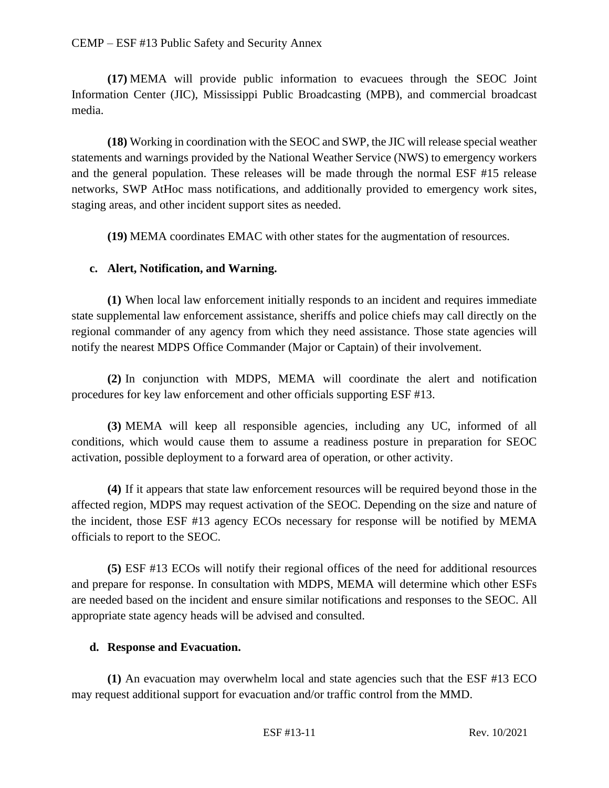#### CEMP – ESF #13 Public Safety and Security Annex

**(17)** MEMA will provide public information to evacuees through the SEOC Joint Information Center (JIC), Mississippi Public Broadcasting (MPB), and commercial broadcast media.

**(18)** Working in coordination with the SEOC and SWP, the JIC will release special weather statements and warnings provided by the National Weather Service (NWS) to emergency workers and the general population. These releases will be made through the normal ESF #15 release networks, SWP AtHoc mass notifications, and additionally provided to emergency work sites, staging areas, and other incident support sites as needed.

**(19)** MEMA coordinates EMAC with other states for the augmentation of resources.

#### **c. Alert, Notification, and Warning.**

**(1)** When local law enforcement initially responds to an incident and requires immediate state supplemental law enforcement assistance, sheriffs and police chiefs may call directly on the regional commander of any agency from which they need assistance. Those state agencies will notify the nearest MDPS Office Commander (Major or Captain) of their involvement.

**(2)** In conjunction with MDPS, MEMA will coordinate the alert and notification procedures for key law enforcement and other officials supporting ESF #13.

**(3)** MEMA will keep all responsible agencies, including any UC, informed of all conditions, which would cause them to assume a readiness posture in preparation for SEOC activation, possible deployment to a forward area of operation, or other activity.

**(4)** If it appears that state law enforcement resources will be required beyond those in the affected region, MDPS may request activation of the SEOC. Depending on the size and nature of the incident, those ESF #13 agency ECOs necessary for response will be notified by MEMA officials to report to the SEOC.

**(5)** ESF #13 ECOs will notify their regional offices of the need for additional resources and prepare for response. In consultation with MDPS, MEMA will determine which other ESFs are needed based on the incident and ensure similar notifications and responses to the SEOC. All appropriate state agency heads will be advised and consulted.

#### **d. Response and Evacuation.**

**(1)** An evacuation may overwhelm local and state agencies such that the ESF #13 ECO may request additional support for evacuation and/or traffic control from the MMD.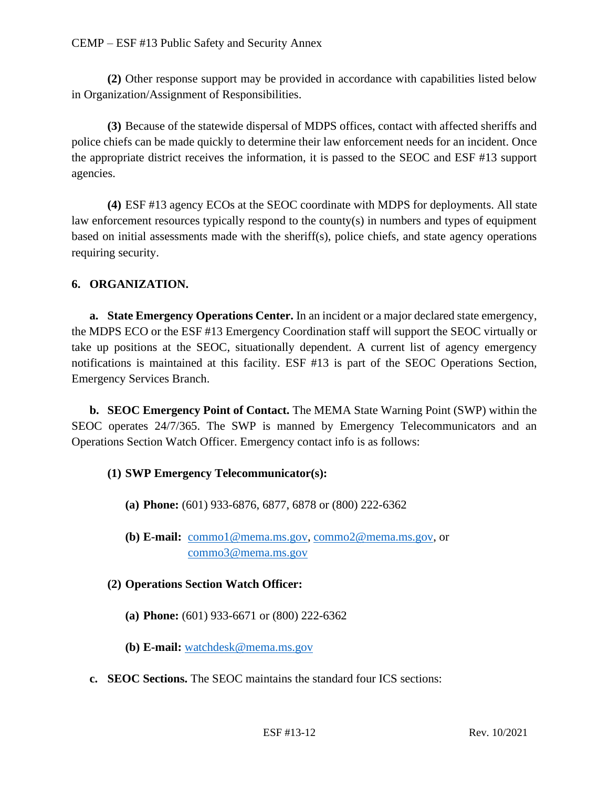**(2)** Other response support may be provided in accordance with capabilities listed below in Organization/Assignment of Responsibilities.

**(3)** Because of the statewide dispersal of MDPS offices, contact with affected sheriffs and police chiefs can be made quickly to determine their law enforcement needs for an incident. Once the appropriate district receives the information, it is passed to the SEOC and ESF #13 support agencies.

**(4)** ESF #13 agency ECOs at the SEOC coordinate with MDPS for deployments. All state law enforcement resources typically respond to the county(s) in numbers and types of equipment based on initial assessments made with the sheriff(s), police chiefs, and state agency operations requiring security.

#### **6. ORGANIZATION.**

**a. State Emergency Operations Center.** In an incident or a major declared state emergency, the MDPS ECO or the ESF #13 Emergency Coordination staff will support the SEOC virtually or take up positions at the SEOC, situationally dependent. A current list of agency emergency notifications is maintained at this facility. ESF #13 is part of the SEOC Operations Section, Emergency Services Branch.

**b. SEOC Emergency Point of Contact.** The MEMA State Warning Point (SWP) within the SEOC operates 24/7/365. The SWP is manned by Emergency Telecommunicators and an Operations Section Watch Officer. Emergency contact info is as follows:

#### **(1) SWP Emergency Telecommunicator(s):**

- **(a) Phone:** (601) 933-6876, 6877, 6878 or (800) 222-6362
- **(b) E-mail:** [commo1@mema.ms.gov,](mailto:commo1@mema.ms.gov) [commo2@mema.ms.gov,](mailto:commo2@mema.ms.gov) or [commo3@mema.ms.gov](mailto:commo3@mema.ms.gov)

#### **(2) Operations Section Watch Officer:**

- **(a) Phone:** (601) 933-6671 or (800) 222-6362
- **(b) E-mail:** [watchdesk@mema.ms.gov](mailto:watchdesk@mema.ms.gov)
- **c. SEOC Sections.** The SEOC maintains the standard four ICS sections: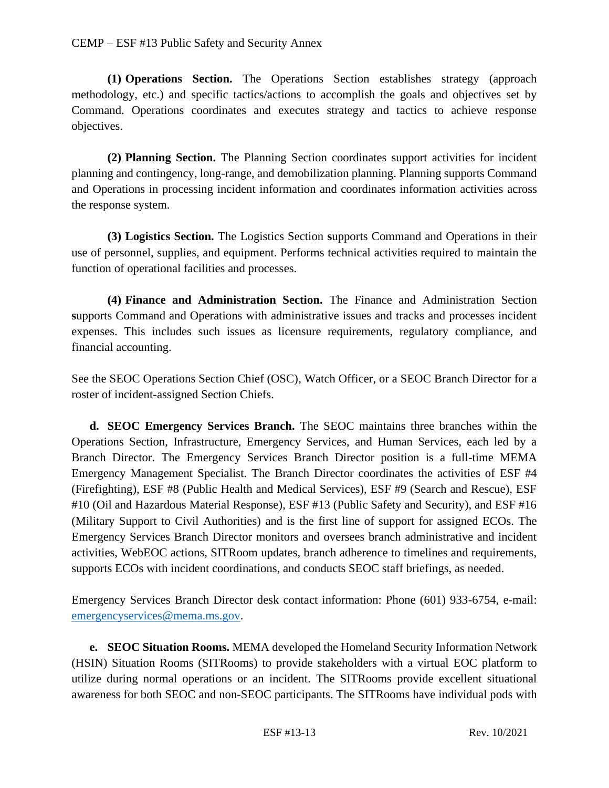**(1) Operations Section.** The Operations Section establishes strategy (approach methodology, etc.) and specific tactics/actions to accomplish the goals and objectives set by Command. Operations coordinates and executes strategy and tactics to achieve response objectives.

**(2) Planning Section.** The Planning Section coordinates support activities for incident planning and contingency, long-range, and demobilization planning. Planning supports Command and Operations in processing incident information and coordinates information activities across the response system.

**(3) Logistics Section.** The Logistics Section **s**upports Command and Operations in their use of personnel, supplies, and equipment. Performs technical activities required to maintain the function of operational facilities and processes.

**(4) Finance and Administration Section.** The Finance and Administration Section **s**upports Command and Operations with administrative issues and tracks and processes incident expenses. This includes such issues as licensure requirements, regulatory compliance, and financial accounting.

See the SEOC Operations Section Chief (OSC), Watch Officer, or a SEOC Branch Director for a roster of incident-assigned Section Chiefs.

**d. SEOC Emergency Services Branch.** The SEOC maintains three branches within the Operations Section, Infrastructure, Emergency Services, and Human Services, each led by a Branch Director. The Emergency Services Branch Director position is a full-time MEMA Emergency Management Specialist. The Branch Director coordinates the activities of ESF #4 (Firefighting), ESF #8 (Public Health and Medical Services), ESF #9 (Search and Rescue), ESF #10 (Oil and Hazardous Material Response), ESF #13 (Public Safety and Security), and ESF #16 (Military Support to Civil Authorities) and is the first line of support for assigned ECOs. The Emergency Services Branch Director monitors and oversees branch administrative and incident activities, WebEOC actions, SITRoom updates, branch adherence to timelines and requirements, supports ECOs with incident coordinations, and conducts SEOC staff briefings, as needed.

Emergency Services Branch Director desk contact information: Phone (601) 933-6754, e-mail: [emergencyservices@mema.ms.gov.](mailto:emergencyservices@mema.ms.gov)

**e. SEOC Situation Rooms.** MEMA developed the Homeland Security Information Network (HSIN) Situation Rooms (SITRooms) to provide stakeholders with a virtual EOC platform to utilize during normal operations or an incident. The SITRooms provide excellent situational awareness for both SEOC and non-SEOC participants. The SITRooms have individual pods with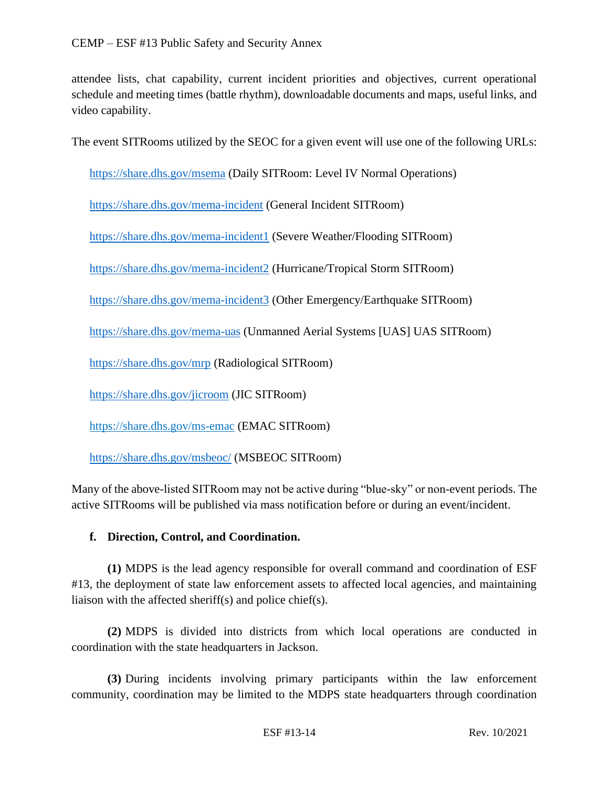attendee lists, chat capability, current incident priorities and objectives, current operational schedule and meeting times (battle rhythm), downloadable documents and maps, useful links, and video capability.

The event SITRooms utilized by the SEOC for a given event will use one of the following URLs:

<https://share.dhs.gov/msema> (Daily SITRoom: Level IV Normal Operations)

<https://share.dhs.gov/mema-incident> (General Incident SITRoom)

<https://share.dhs.gov/mema-incident1> (Severe Weather/Flooding SITRoom)

<https://share.dhs.gov/mema-incident2> (Hurricane/Tropical Storm SITRoom)

<https://share.dhs.gov/mema-incident3> (Other Emergency/Earthquake SITRoom)

<https://share.dhs.gov/mema-uas> (Unmanned Aerial Systems [UAS] UAS SITRoom)

<https://share.dhs.gov/mrp> (Radiological SITRoom)

<https://share.dhs.gov/jicroom> (JIC SITRoom)

<https://share.dhs.gov/ms-emac> (EMAC SITRoom)

<https://share.dhs.gov/msbeoc/> (MSBEOC SITRoom)

Many of the above-listed SITRoom may not be active during "blue-sky" or non-event periods. The active SITRooms will be published via mass notification before or during an event/incident.

#### **f. Direction, Control, and Coordination.**

**(1)** MDPS is the lead agency responsible for overall command and coordination of ESF #13, the deployment of state law enforcement assets to affected local agencies, and maintaining liaison with the affected sheriff(s) and police chief(s).

**(2)** MDPS is divided into districts from which local operations are conducted in coordination with the state headquarters in Jackson.

**(3)** During incidents involving primary participants within the law enforcement community, coordination may be limited to the MDPS state headquarters through coordination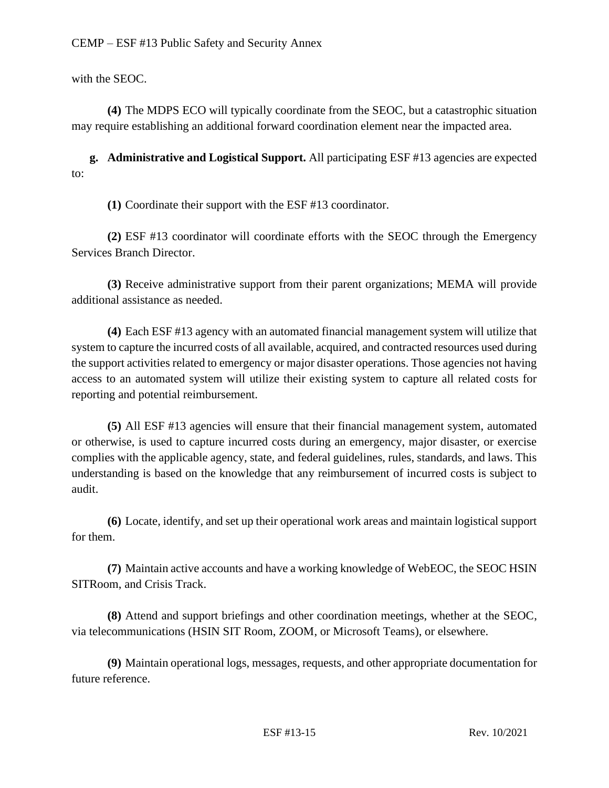with the SEOC.

**(4)** The MDPS ECO will typically coordinate from the SEOC, but a catastrophic situation may require establishing an additional forward coordination element near the impacted area.

**g. Administrative and Logistical Support.** All participating ESF #13 agencies are expected to:

**(1)** Coordinate their support with the ESF #13 coordinator.

**(2)** ESF #13 coordinator will coordinate efforts with the SEOC through the Emergency Services Branch Director.

**(3)** Receive administrative support from their parent organizations; MEMA will provide additional assistance as needed.

**(4)** Each ESF #13 agency with an automated financial management system will utilize that system to capture the incurred costs of all available, acquired, and contracted resources used during the support activities related to emergency or major disaster operations. Those agencies not having access to an automated system will utilize their existing system to capture all related costs for reporting and potential reimbursement.

**(5)** All ESF #13 agencies will ensure that their financial management system, automated or otherwise, is used to capture incurred costs during an emergency, major disaster, or exercise complies with the applicable agency, state, and federal guidelines, rules, standards, and laws. This understanding is based on the knowledge that any reimbursement of incurred costs is subject to audit.

**(6)** Locate, identify, and set up their operational work areas and maintain logistical support for them.

**(7)** Maintain active accounts and have a working knowledge of WebEOC, the SEOC HSIN SITRoom, and Crisis Track.

**(8)** Attend and support briefings and other coordination meetings, whether at the SEOC, via telecommunications (HSIN SIT Room, ZOOM, or Microsoft Teams), or elsewhere.

**(9)** Maintain operational logs, messages, requests, and other appropriate documentation for future reference.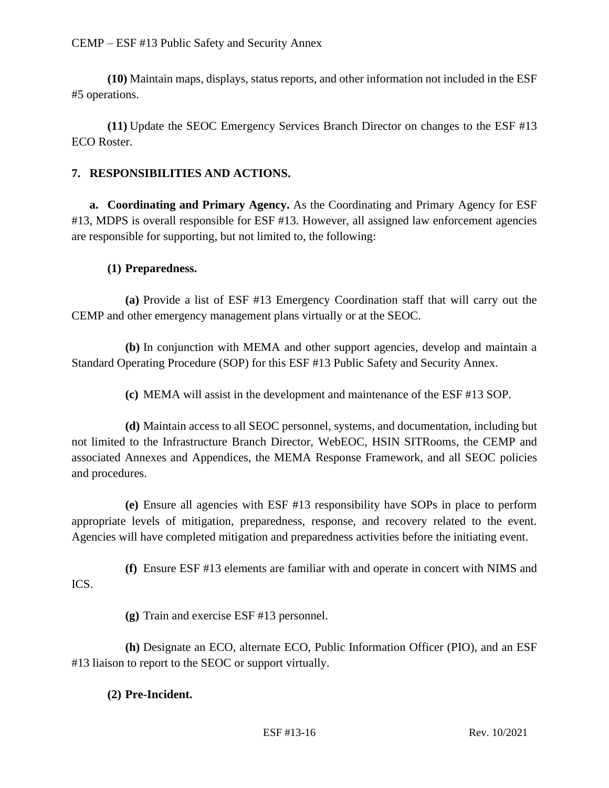**(10)** Maintain maps, displays, status reports, and other information not included in the ESF #5 operations.

**(11)** Update the SEOC Emergency Services Branch Director on changes to the ESF #13 ECO Roster.

### **7. RESPONSIBILITIES AND ACTIONS.**

**a. Coordinating and Primary Agency.** As the Coordinating and Primary Agency for ESF #13, MDPS is overall responsible for ESF #13. However, all assigned law enforcement agencies are responsible for supporting, but not limited to, the following:

#### **(1) Preparedness.**

**(a)** Provide a list of ESF #13 Emergency Coordination staff that will carry out the CEMP and other emergency management plans virtually or at the SEOC.

**(b)** In conjunction with MEMA and other support agencies, develop and maintain a Standard Operating Procedure (SOP) for this ESF #13 Public Safety and Security Annex.

**(c)** MEMA will assist in the development and maintenance of the ESF #13 SOP.

**(d)** Maintain access to all SEOC personnel, systems, and documentation, including but not limited to the Infrastructure Branch Director, WebEOC, HSIN SITRooms, the CEMP and associated Annexes and Appendices, the MEMA Response Framework, and all SEOC policies and procedures.

**(e)** Ensure all agencies with ESF #13 responsibility have SOPs in place to perform appropriate levels of mitigation, preparedness, response, and recovery related to the event. Agencies will have completed mitigation and preparedness activities before the initiating event.

**(f)** Ensure ESF #13 elements are familiar with and operate in concert with NIMS and ICS.

**(g)** Train and exercise ESF #13 personnel.

**(h)** Designate an ECO, alternate ECO, Public Information Officer (PIO), and an ESF #13 liaison to report to the SEOC or support virtually.

#### **(2) Pre-Incident.**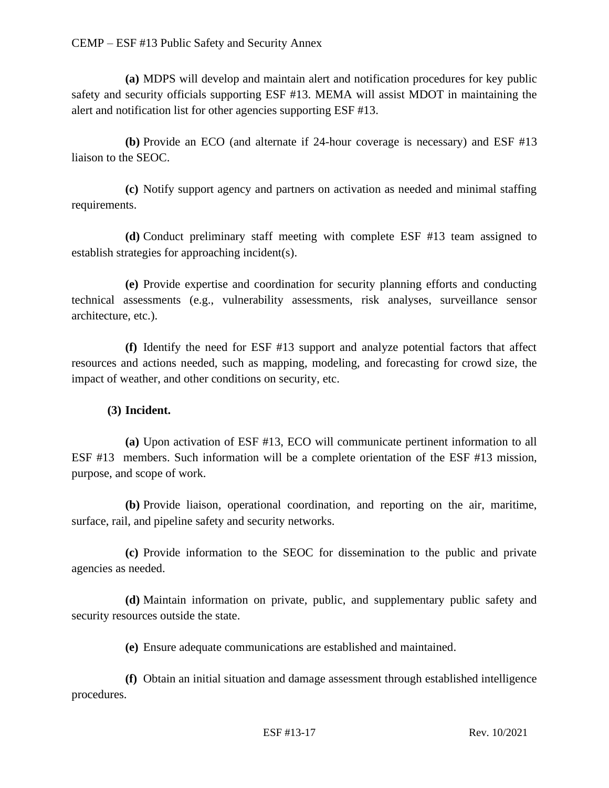**(a)** MDPS will develop and maintain alert and notification procedures for key public safety and security officials supporting ESF #13. MEMA will assist MDOT in maintaining the alert and notification list for other agencies supporting ESF #13.

**(b)** Provide an ECO (and alternate if 24-hour coverage is necessary) and ESF #13 liaison to the SEOC.

**(c)** Notify support agency and partners on activation as needed and minimal staffing requirements.

**(d)** Conduct preliminary staff meeting with complete ESF #13 team assigned to establish strategies for approaching incident(s).

**(e)** Provide expertise and coordination for security planning efforts and conducting technical assessments (e.g., vulnerability assessments, risk analyses, surveillance sensor architecture, etc.).

**(f)** Identify the need for ESF #13 support and analyze potential factors that affect resources and actions needed, such as mapping, modeling, and forecasting for crowd size, the impact of weather, and other conditions on security, etc.

## **(3) Incident.**

**(a)** Upon activation of ESF #13, ECO will communicate pertinent information to all ESF #13 members. Such information will be a complete orientation of the ESF #13 mission, purpose, and scope of work.

**(b)** Provide liaison, operational coordination, and reporting on the air, maritime, surface, rail, and pipeline safety and security networks.

**(c)** Provide information to the SEOC for dissemination to the public and private agencies as needed.

**(d)** Maintain information on private, public, and supplementary public safety and security resources outside the state.

**(e)** Ensure adequate communications are established and maintained.

**(f)** Obtain an initial situation and damage assessment through established intelligence procedures.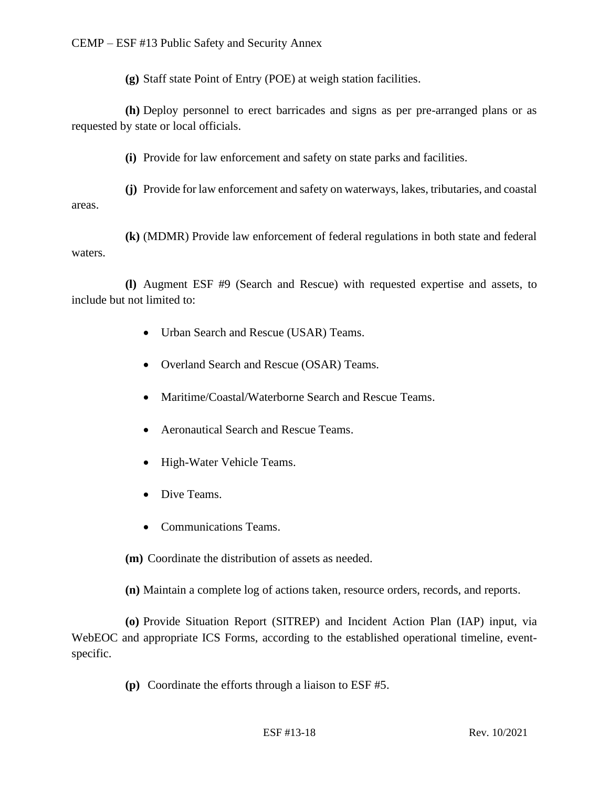**(g)** Staff state Point of Entry (POE) at weigh station facilities.

**(h)** Deploy personnel to erect barricades and signs as per pre-arranged plans or as requested by state or local officials.

**(i)** Provide for law enforcement and safety on state parks and facilities.

**(j)** Provide for law enforcement and safety on waterways, lakes, tributaries, and coastal areas.

**(k)** (MDMR) Provide law enforcement of federal regulations in both state and federal waters.

**(l)** Augment ESF #9 (Search and Rescue) with requested expertise and assets, to include but not limited to:

- Urban Search and Rescue (USAR) Teams.
- Overland Search and Rescue (OSAR) Teams.
- Maritime/Coastal/Waterborne Search and Rescue Teams.
- Aeronautical Search and Rescue Teams.
- High-Water Vehicle Teams.
- Dive Teams.
- Communications Teams.

**(m)** Coordinate the distribution of assets as needed.

**(n)** Maintain a complete log of actions taken, resource orders, records, and reports.

**(o)** Provide Situation Report (SITREP) and Incident Action Plan (IAP) input, via WebEOC and appropriate ICS Forms, according to the established operational timeline, eventspecific.

**(p)** Coordinate the efforts through a liaison to ESF #5.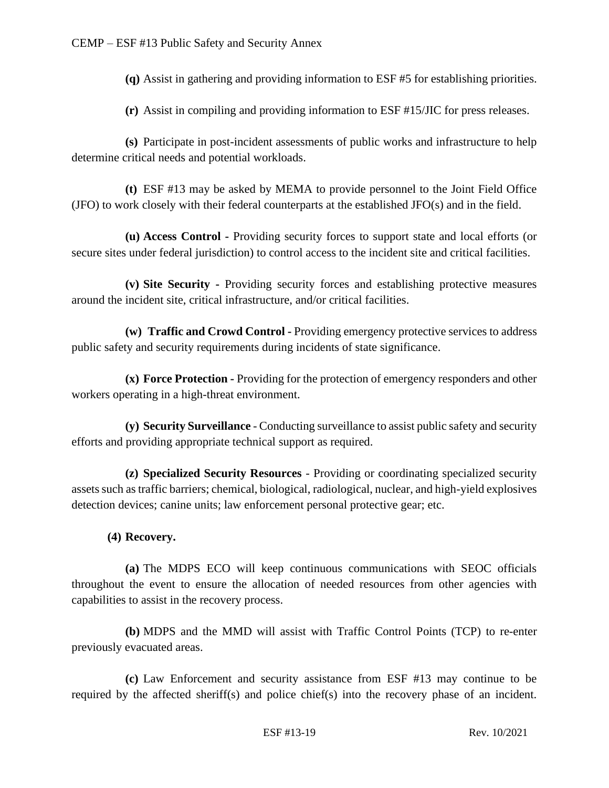**(q)** Assist in gathering and providing information to ESF #5 for establishing priorities.

**(r)** Assist in compiling and providing information to ESF #15/JIC for press releases.

**(s)** Participate in post-incident assessments of public works and infrastructure to help determine critical needs and potential workloads.

**(t)** ESF #13 may be asked by MEMA to provide personnel to the Joint Field Office (JFO) to work closely with their federal counterparts at the established JFO(s) and in the field.

**(u) Access Control -** Providing security forces to support state and local efforts (or secure sites under federal jurisdiction) to control access to the incident site and critical facilities.

**(v) Site Security -** Providing security forces and establishing protective measures around the incident site, critical infrastructure, and/or critical facilities.

**(w) Traffic and Crowd Control -** Providing emergency protective services to address public safety and security requirements during incidents of state significance.

**(x) Force Protection -** Providing for the protection of emergency responders and other workers operating in a high-threat environment.

**(y) Security Surveillance** - Conducting surveillance to assist public safety and security efforts and providing appropriate technical support as required.

**(z) Specialized Security Resources** - Providing or coordinating specialized security assets such as traffic barriers; chemical, biological, radiological, nuclear, and high-yield explosives detection devices; canine units; law enforcement personal protective gear; etc.

#### **(4) Recovery.**

**(a)** The MDPS ECO will keep continuous communications with SEOC officials throughout the event to ensure the allocation of needed resources from other agencies with capabilities to assist in the recovery process.

**(b)** MDPS and the MMD will assist with Traffic Control Points (TCP) to re-enter previously evacuated areas.

**(c)** Law Enforcement and security assistance from ESF #13 may continue to be required by the affected sheriff(s) and police chief(s) into the recovery phase of an incident.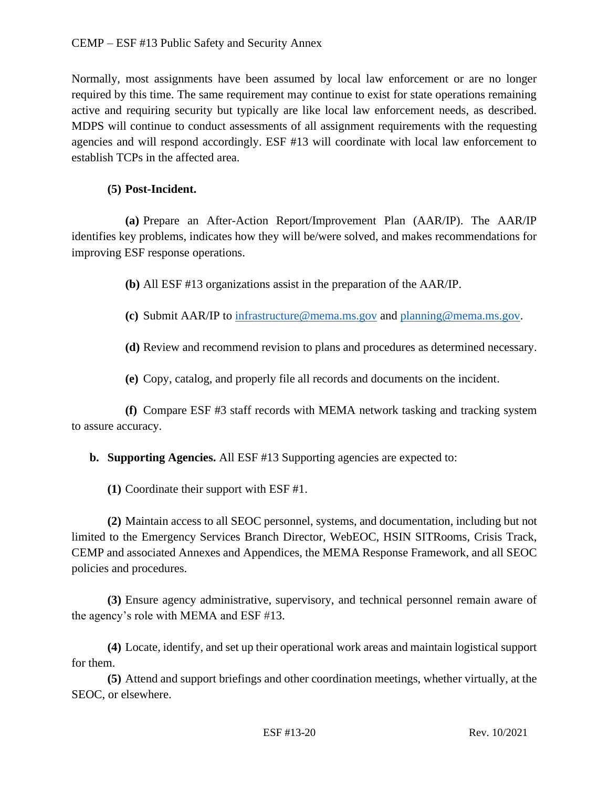Normally, most assignments have been assumed by local law enforcement or are no longer required by this time. The same requirement may continue to exist for state operations remaining active and requiring security but typically are like local law enforcement needs, as described. MDPS will continue to conduct assessments of all assignment requirements with the requesting agencies and will respond accordingly. ESF #13 will coordinate with local law enforcement to establish TCPs in the affected area.

### **(5) Post-Incident.**

**(a)** Prepare an After-Action Report/Improvement Plan (AAR/IP). The AAR/IP identifies key problems, indicates how they will be/were solved, and makes recommendations for improving ESF response operations.

**(b)** All ESF #13 organizations assist in the preparation of the AAR/IP.

**(c)** Submit AAR/IP to [infrastructure@mema.ms.gov](mailto:infrastructure@mema.ms.gov) and [planning@mema.ms.gov.](mailto:planning@mema.ms.gov)

**(d)** Review and recommend revision to plans and procedures as determined necessary.

**(e)** Copy, catalog, and properly file all records and documents on the incident.

**(f)** Compare ESF #3 staff records with MEMA network tasking and tracking system to assure accuracy.

**b. Supporting Agencies.** All ESF #13 Supporting agencies are expected to:

**(1)** Coordinate their support with ESF #1.

**(2)** Maintain access to all SEOC personnel, systems, and documentation, including but not limited to the Emergency Services Branch Director, WebEOC, HSIN SITRooms, Crisis Track, CEMP and associated Annexes and Appendices, the MEMA Response Framework, and all SEOC policies and procedures.

**(3)** Ensure agency administrative, supervisory, and technical personnel remain aware of the agency's role with MEMA and ESF #13.

**(4)** Locate, identify, and set up their operational work areas and maintain logistical support for them.

**(5)** Attend and support briefings and other coordination meetings, whether virtually, at the SEOC, or elsewhere.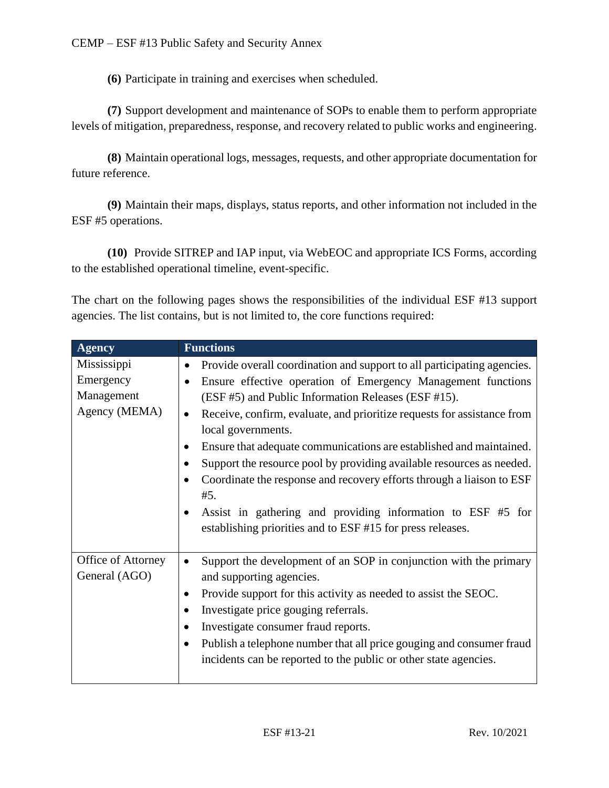**(6)** Participate in training and exercises when scheduled.

**(7)** Support development and maintenance of SOPs to enable them to perform appropriate levels of mitigation, preparedness, response, and recovery related to public works and engineering.

**(8)** Maintain operational logs, messages, requests, and other appropriate documentation for future reference.

**(9)** Maintain their maps, displays, status reports, and other information not included in the ESF #5 operations.

**(10)** Provide SITREP and IAP input, via WebEOC and appropriate ICS Forms, according to the established operational timeline, event-specific.

The chart on the following pages shows the responsibilities of the individual ESF #13 support agencies. The list contains, but is not limited to, the core functions required:

| <b>Agency</b>                                           | <b>Functions</b>                                                                                                                                                                                                                                                                                                                                                                                                                                                                                                                                                                                                                                                                                    |
|---------------------------------------------------------|-----------------------------------------------------------------------------------------------------------------------------------------------------------------------------------------------------------------------------------------------------------------------------------------------------------------------------------------------------------------------------------------------------------------------------------------------------------------------------------------------------------------------------------------------------------------------------------------------------------------------------------------------------------------------------------------------------|
| Mississippi<br>Emergency<br>Management<br>Agency (MEMA) | Provide overall coordination and support to all participating agencies.<br>Ensure effective operation of Emergency Management functions<br>(ESF #5) and Public Information Releases (ESF #15).<br>Receive, confirm, evaluate, and prioritize requests for assistance from<br>$\bullet$<br>local governments.<br>Ensure that adequate communications are established and maintained.<br>$\bullet$<br>Support the resource pool by providing available resources as needed.<br>Coordinate the response and recovery efforts through a liaison to ESF<br>#5.<br>Assist in gathering and providing information to ESF #5 for<br>$\bullet$<br>establishing priorities and to ESF #15 for press releases. |
| Office of Attorney<br>General (AGO)                     | Support the development of an SOP in conjunction with the primary<br>$\bullet$<br>and supporting agencies.<br>Provide support for this activity as needed to assist the SEOC.<br>Investigate price gouging referrals.<br>$\bullet$<br>Investigate consumer fraud reports.<br>$\bullet$<br>Publish a telephone number that all price gouging and consumer fraud<br>$\bullet$<br>incidents can be reported to the public or other state agencies.                                                                                                                                                                                                                                                     |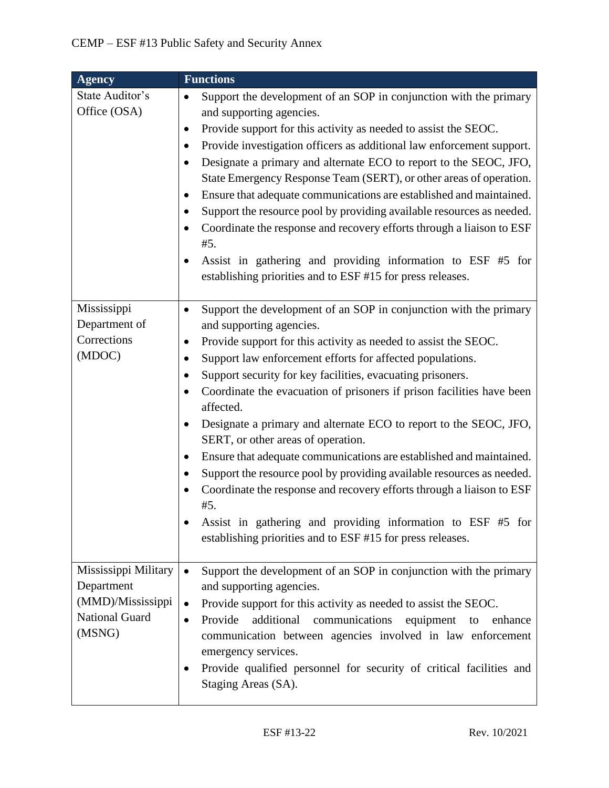| <b>Agency</b>                                                                       | <b>Functions</b>                                                                                                                                                                                                                                                                                                                                                                                                                                                                                                                                                                                                                                                                                                                                                                                                                                                                                                                                  |
|-------------------------------------------------------------------------------------|---------------------------------------------------------------------------------------------------------------------------------------------------------------------------------------------------------------------------------------------------------------------------------------------------------------------------------------------------------------------------------------------------------------------------------------------------------------------------------------------------------------------------------------------------------------------------------------------------------------------------------------------------------------------------------------------------------------------------------------------------------------------------------------------------------------------------------------------------------------------------------------------------------------------------------------------------|
| State Auditor's<br>Office (OSA)                                                     | Support the development of an SOP in conjunction with the primary<br>$\bullet$<br>and supporting agencies.<br>Provide support for this activity as needed to assist the SEOC.<br>٠<br>Provide investigation officers as additional law enforcement support.<br>$\bullet$<br>Designate a primary and alternate ECO to report to the SEOC, JFO,<br>$\bullet$<br>State Emergency Response Team (SERT), or other areas of operation.<br>Ensure that adequate communications are established and maintained.<br>٠<br>Support the resource pool by providing available resources as needed.<br>$\bullet$<br>Coordinate the response and recovery efforts through a liaison to ESF<br>$\bullet$<br>#5.<br>Assist in gathering and providing information to ESF #5 for<br>٠<br>establishing priorities and to ESF #15 for press releases.                                                                                                                 |
| Mississippi<br>Department of<br>Corrections<br>(MDOC)                               | Support the development of an SOP in conjunction with the primary<br>$\bullet$<br>and supporting agencies.<br>Provide support for this activity as needed to assist the SEOC.<br>٠<br>Support law enforcement efforts for affected populations.<br>$\bullet$<br>Support security for key facilities, evacuating prisoners.<br>$\bullet$<br>Coordinate the evacuation of prisoners if prison facilities have been<br>$\bullet$<br>affected.<br>Designate a primary and alternate ECO to report to the SEOC, JFO,<br>$\bullet$<br>SERT, or other areas of operation.<br>Ensure that adequate communications are established and maintained.<br>٠<br>Support the resource pool by providing available resources as needed.<br>$\bullet$<br>Coordinate the response and recovery efforts through a liaison to ESF<br>#5.<br>Assist in gathering and providing information to ESF #5 for<br>establishing priorities and to ESF #15 for press releases. |
| Mississippi Military<br>Department<br>(MMD)/Mississippi<br>National Guard<br>(MSNG) | Support the development of an SOP in conjunction with the primary<br>$\bullet$<br>and supporting agencies.<br>Provide support for this activity as needed to assist the SEOC.<br>$\bullet$<br>Provide<br>additional<br>communications<br>equipment<br>enhance<br>to<br>$\bullet$<br>communication between agencies involved in law enforcement<br>emergency services.<br>Provide qualified personnel for security of critical facilities and<br>Staging Areas (SA).                                                                                                                                                                                                                                                                                                                                                                                                                                                                               |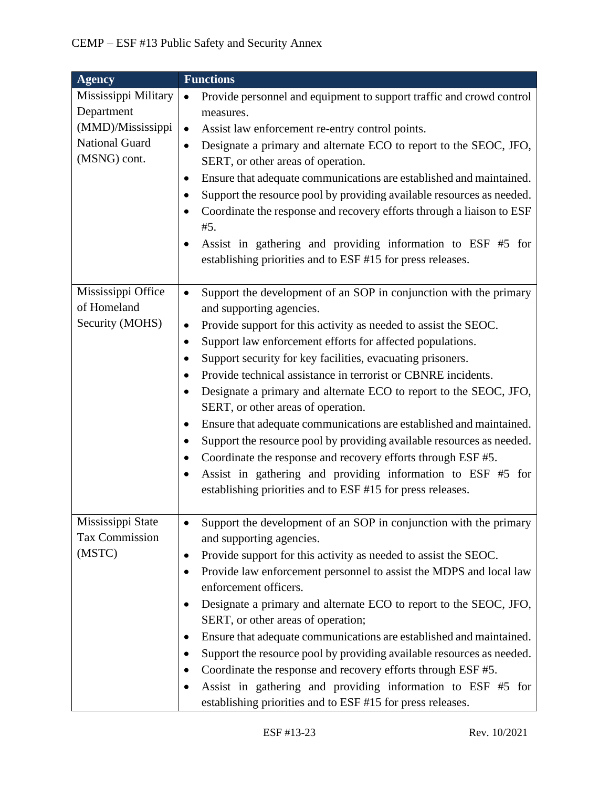| <b>Agency</b>         | <b>Functions</b>                                                                   |
|-----------------------|------------------------------------------------------------------------------------|
| Mississippi Military  | Provide personnel and equipment to support traffic and crowd control<br>$\bullet$  |
| Department            | measures.                                                                          |
| (MMD)/Mississippi     | Assist law enforcement re-entry control points.<br>$\bullet$                       |
| <b>National Guard</b> | Designate a primary and alternate ECO to report to the SEOC, JFO,<br>$\bullet$     |
| (MSNG) cont.          | SERT, or other areas of operation.                                                 |
|                       | Ensure that adequate communications are established and maintained.<br>$\bullet$   |
|                       | Support the resource pool by providing available resources as needed.              |
|                       | Coordinate the response and recovery efforts through a liaison to ESF<br>$\bullet$ |
|                       | #5.                                                                                |
|                       | Assist in gathering and providing information to ESF #5 for                        |
|                       | establishing priorities and to ESF #15 for press releases.                         |
|                       |                                                                                    |
| Mississippi Office    | Support the development of an SOP in conjunction with the primary<br>$\bullet$     |
| of Homeland           | and supporting agencies.                                                           |
| Security (MOHS)       | Provide support for this activity as needed to assist the SEOC.<br>$\bullet$       |
|                       | Support law enforcement efforts for affected populations.<br>$\bullet$             |
|                       | Support security for key facilities, evacuating prisoners.                         |
|                       | Provide technical assistance in terrorist or CBNRE incidents.                      |
|                       | Designate a primary and alternate ECO to report to the SEOC, JFO,<br>$\bullet$     |
|                       | SERT, or other areas of operation.                                                 |
|                       | Ensure that adequate communications are established and maintained.<br>$\bullet$   |
|                       | Support the resource pool by providing available resources as needed.<br>$\bullet$ |
|                       | Coordinate the response and recovery efforts through ESF #5.<br>٠                  |
|                       | Assist in gathering and providing information to ESF #5 for<br>$\bullet$           |
|                       | establishing priorities and to ESF #15 for press releases.                         |
|                       |                                                                                    |
| Mississippi State     | Support the development of an SOP in conjunction with the primary<br>$\bullet$     |
| Tax Commission        | and supporting agencies.                                                           |
| (MSTC)                | Provide support for this activity as needed to assist the SEOC.<br>$\bullet$       |
|                       | Provide law enforcement personnel to assist the MDPS and local law<br>٠            |
|                       | enforcement officers.                                                              |
|                       | Designate a primary and alternate ECO to report to the SEOC, JFO,<br>$\bullet$     |
|                       | SERT, or other areas of operation;                                                 |
|                       | Ensure that adequate communications are established and maintained.<br>$\bullet$   |
|                       | Support the resource pool by providing available resources as needed.<br>٠         |
|                       | Coordinate the response and recovery efforts through ESF #5.<br>$\bullet$          |
|                       | Assist in gathering and providing information to ESF #5 for<br>$\bullet$           |
|                       | establishing priorities and to ESF #15 for press releases.                         |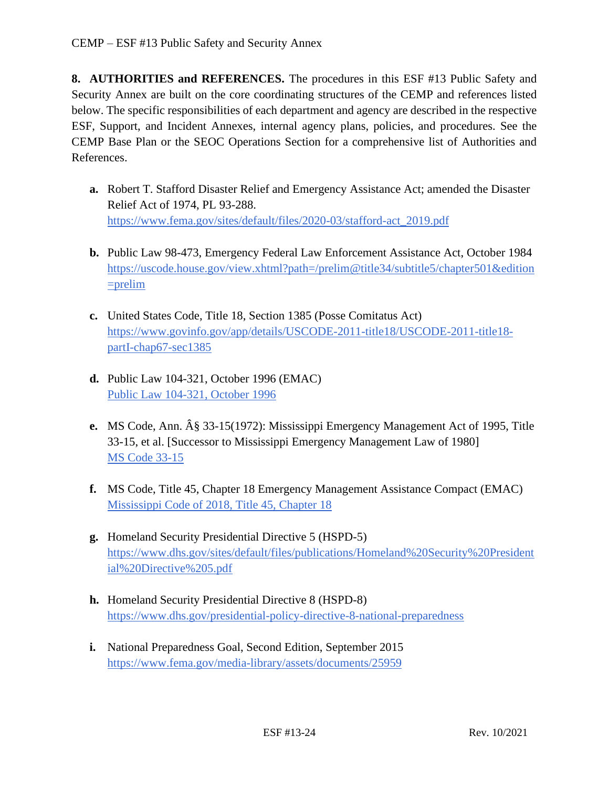**8. AUTHORITIES and REFERENCES.** The procedures in this ESF #13 Public Safety and Security Annex are built on the core coordinating structures of the CEMP and references listed below. The specific responsibilities of each department and agency are described in the respective ESF, Support, and Incident Annexes, internal agency plans, policies, and procedures. See the CEMP Base Plan or the SEOC Operations Section for a comprehensive list of Authorities and References.

- **a.** Robert T. Stafford Disaster Relief and Emergency Assistance Act; amended the Disaster Relief Act of 1974, PL 93-288. [https://www.fema.gov/sites/default/files/2020-03/stafford-act\\_2019.pdf](https://www.fema.gov/sites/default/files/2020-03/stafford-act_2019.pdf)
- **b.** Public Law 98-473, Emergency Federal Law Enforcement Assistance Act, October 1984 [https://uscode.house.gov/view.xhtml?path=/prelim@title34/subtitle5/chapter501&edition](https://uscode.house.gov/view.xhtml?path=/prelim@title34/subtitle5/chapter501&edition=prelim)  $=$ prelim
- **c.** United States Code, Title 18, Section 1385 (Posse Comitatus Act) [https://www.govinfo.gov/app/details/USCODE-2011-title18/USCODE-2011-title18](https://www.govinfo.gov/app/details/USCODE-2011-title18/USCODE-2011-title18-%20%20%20partI-chap67-sec1385)  [partI-chap67-sec1385](https://www.govinfo.gov/app/details/USCODE-2011-title18/USCODE-2011-title18-%20%20%20partI-chap67-sec1385)
- **d.** Public Law 104-321, October 1996 (EMAC) [Public Law 104-321, October 1996](https://www.congress.gov/104/plaws/publ321/PLAW-104publ321.pdf)
- **e.** MS Code, Ann.  $\hat{A}\hat{g}$  33-15(1972): Mississippi Emergency Management Act of 1995, Title 33-15, et al. [Successor to Mississippi Emergency Management Law of 1980] [MS Code 33-15](https://law.justia.com/codes/mississippi/2010/title-33/15/)
- **f.** MS Code, Title 45, Chapter 18 Emergency Management Assistance Compact (EMAC) [Mississippi Code of 2018, Title 45, Chapter 18](https://law.justia.com/codes/mississippi/2018/title-45/chapter-18/)
- **g.** Homeland Security Presidential Directive 5 (HSPD-5) [https://www.dhs.gov/sites/default/files/publications/Homeland%20Security%20President](https://www.dhs.gov/sites/default/files/publications/Homeland%20Security%20Presidential%20Directive%205.pdf) [ial%20Directive%205.pdf](https://www.dhs.gov/sites/default/files/publications/Homeland%20Security%20Presidential%20Directive%205.pdf)
- **h.** Homeland Security Presidential Directive 8 (HSPD-8) <https://www.dhs.gov/presidential-policy-directive-8-national-preparedness>
- **i.** National Preparedness Goal, Second Edition, September 2015 <https://www.fema.gov/media-library/assets/documents/25959>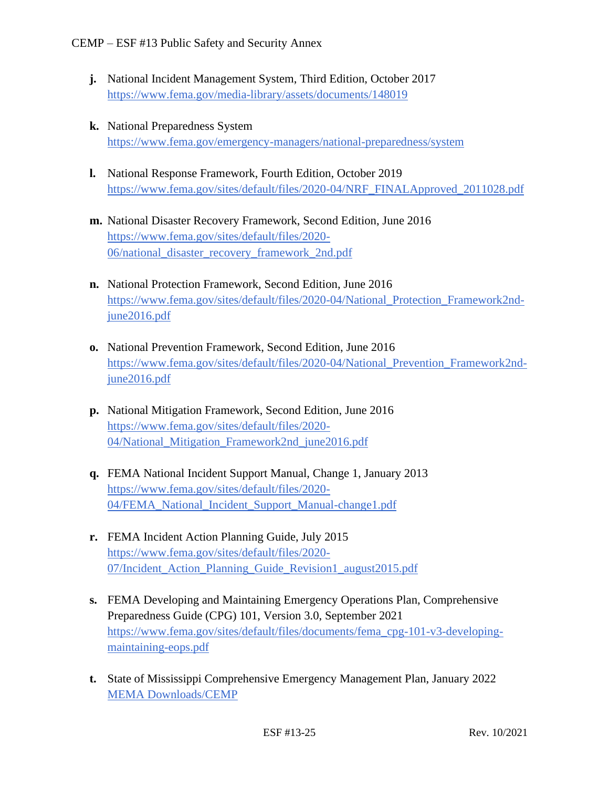- **j.** National Incident Management System, Third Edition, October 2017 <https://www.fema.gov/media-library/assets/documents/148019>
- **k.** National Preparedness System <https://www.fema.gov/emergency-managers/national-preparedness/system>
- **l.** National Response Framework, Fourth Edition, October 2019 [https://www.fema.gov/sites/default/files/2020-04/NRF\\_FINALApproved\\_2011028.pdf](https://www.fema.gov/sites/default/files/2020-04/NRF_FINALApproved_2011028.pdf)
- **m.** National Disaster Recovery Framework, Second Edition, June 2016 [https://www.fema.gov/sites/default/files/2020-](https://www.fema.gov/sites/default/files/2020-06/national_disaster_recovery_framework_2nd.pdf) [06/national\\_disaster\\_recovery\\_framework\\_2nd.pdf](https://www.fema.gov/sites/default/files/2020-06/national_disaster_recovery_framework_2nd.pdf)
- **n.** National Protection Framework, Second Edition, June 2016 [https://www.fema.gov/sites/default/files/2020-04/National\\_Protection\\_Framework2nd](https://www.fema.gov/sites/default/files/2020-04/National_Protection_Framework2nd-june2016.pdf)[june2016.pdf](https://www.fema.gov/sites/default/files/2020-04/National_Protection_Framework2nd-june2016.pdf)
- **o.** National Prevention Framework, Second Edition, June 2016 [https://www.fema.gov/sites/default/files/2020-04/National\\_Prevention\\_Framework2nd](https://www.fema.gov/sites/default/files/2020-04/National_Prevention_Framework2nd-june2016.pdf)[june2016.pdf](https://www.fema.gov/sites/default/files/2020-04/National_Prevention_Framework2nd-june2016.pdf)
- **p.** National Mitigation Framework, Second Edition, June 2016 [https://www.fema.gov/sites/default/files/2020-](https://www.fema.gov/sites/default/files/2020-04/National_Mitigation_Framework2nd_june2016.pdf) [04/National\\_Mitigation\\_Framework2nd\\_june2016.pdf](https://www.fema.gov/sites/default/files/2020-04/National_Mitigation_Framework2nd_june2016.pdf)
- **q.** FEMA National Incident Support Manual, Change 1, January 2013 [https://www.fema.gov/sites/default/files/2020-](https://www.fema.gov/sites/default/files/2020-04/FEMA_National_Incident_Support_Manual-change1.pdf) [04/FEMA\\_National\\_Incident\\_Support\\_Manual-change1.pdf](https://www.fema.gov/sites/default/files/2020-04/FEMA_National_Incident_Support_Manual-change1.pdf)
- **r.** FEMA Incident Action Planning Guide, July 2015 [https://www.fema.gov/sites/default/files/2020-](https://www.fema.gov/sites/default/files/2020-07/Incident_Action_Planning_Guide_Revision1_august2015.pdf) [07/Incident\\_Action\\_Planning\\_Guide\\_Revision1\\_august2015.pdf](https://www.fema.gov/sites/default/files/2020-07/Incident_Action_Planning_Guide_Revision1_august2015.pdf)
- **s.** FEMA Developing and Maintaining Emergency Operations Plan, Comprehensive Preparedness Guide (CPG) 101, Version 3.0, September 2021 [https://www.fema.gov/sites/default/files/documents/fema\\_cpg-101-v3-developing](https://www.fema.gov/sites/default/files/documents/fema_cpg-101-v3-developing-maintaining-eops.pdf)[maintaining-eops.pdf](https://www.fema.gov/sites/default/files/documents/fema_cpg-101-v3-developing-maintaining-eops.pdf)
- **t.** State of Mississippi Comprehensive Emergency Management Plan, January 2022 [MEMA Downloads/CEMP](https://msmema.sharepoint.com/SitePages/Home.aspx?RootFolder=%2FShared%20Documents%2FMEMA%20Downloads%2FComprehensive%20Emergency%20Management%20Plan%20%2D%202022&FolderCTID=0x0120008B577F2FDBEF6C46A75A5A0E50508F97&View=%7B761BF974%2D2C6D%2D49C8%2DAE4B%2DF98EBD3AD4F9%7D)